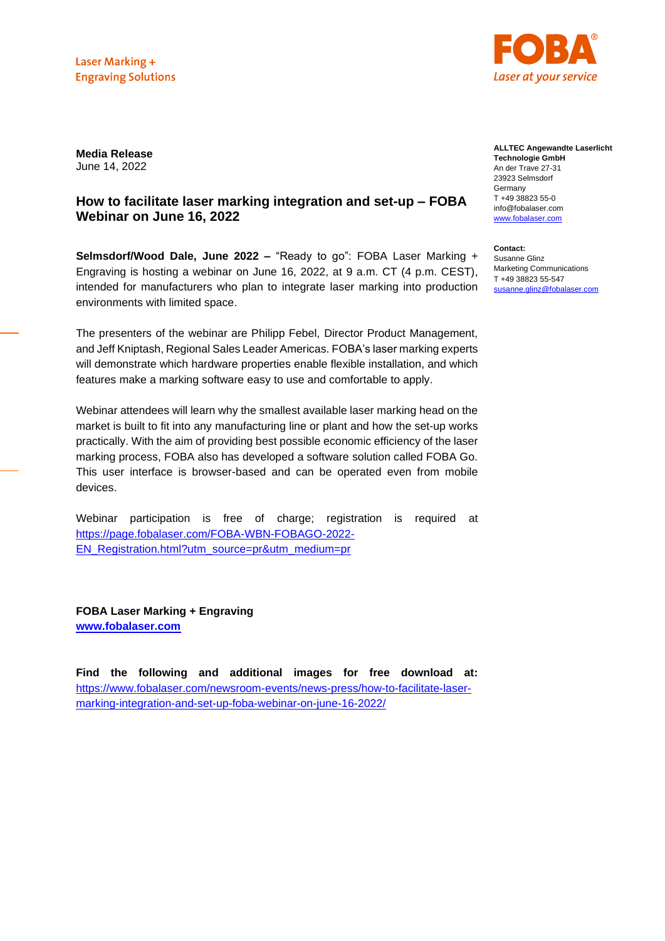

**Media Release** June 14, 2022

## **How to facilitate laser marking integration and set-up – FOBA Webinar on June 16, 2022**

**Selmsdorf/Wood Dale, June 2022 –** "Ready to go": FOBA Laser Marking + Engraving is hosting a webinar on June 16, 2022, at 9 a.m. CT (4 p.m. CEST), intended for manufacturers who plan to integrate laser marking into production environments with limited space.

The presenters of the webinar are Philipp Febel, Director Product Management, and Jeff Kniptash, Regional Sales Leader Americas. FOBA's laser marking experts will demonstrate which hardware properties enable flexible installation, and which features make a marking software easy to use and comfortable to apply.

Webinar attendees will learn why the smallest available laser marking head on the market is built to fit into any manufacturing line or plant and how the set-up works practically. With the aim of providing best possible economic efficiency of the laser marking process, FOBA also has developed a software solution called FOBA Go. This user interface is browser-based and can be operated even from mobile devices.

Webinar participation is free of charge; registration is required at https://page.fobalaser.com/FOBA-WBN-FOBAGO-2022- EN\_Registration.html?utm\_source=pr&utm\_medium=pr

**FOBA Laser Marking + Engraving [www.fobalaser.com](http://www.fobalaser.com/)**

**Find the following and additional images for free download at:**  [https://www.fobalaser.com/newsroom-events/news-press/how-to-facilitate-laser](https://www.fobalaser.com/newsroom-events/news-press/how-to-facilitate-laser-marking-integration-and-set-up-foba-webinar-on-june-16-2022/)[marking-integration-and-set-up-foba-webinar-on-june-16-2022/](https://www.fobalaser.com/newsroom-events/news-press/how-to-facilitate-laser-marking-integration-and-set-up-foba-webinar-on-june-16-2022/)

## **ALLTEC Angewandte Laserlicht Technologie GmbH** An der Trave 27-31 23923 Selmsdorf Germany T +49 38823 55-0 info@fobalaser.com [www.fobalaser.com](http://www.fobalaser.com/)

**Contact:** Susanne Glinz Marketing Communications T +49 38823 55-547 [susanne.glinz@fobalaser.com](mailto:susanne.glinz@fobalaser.com)